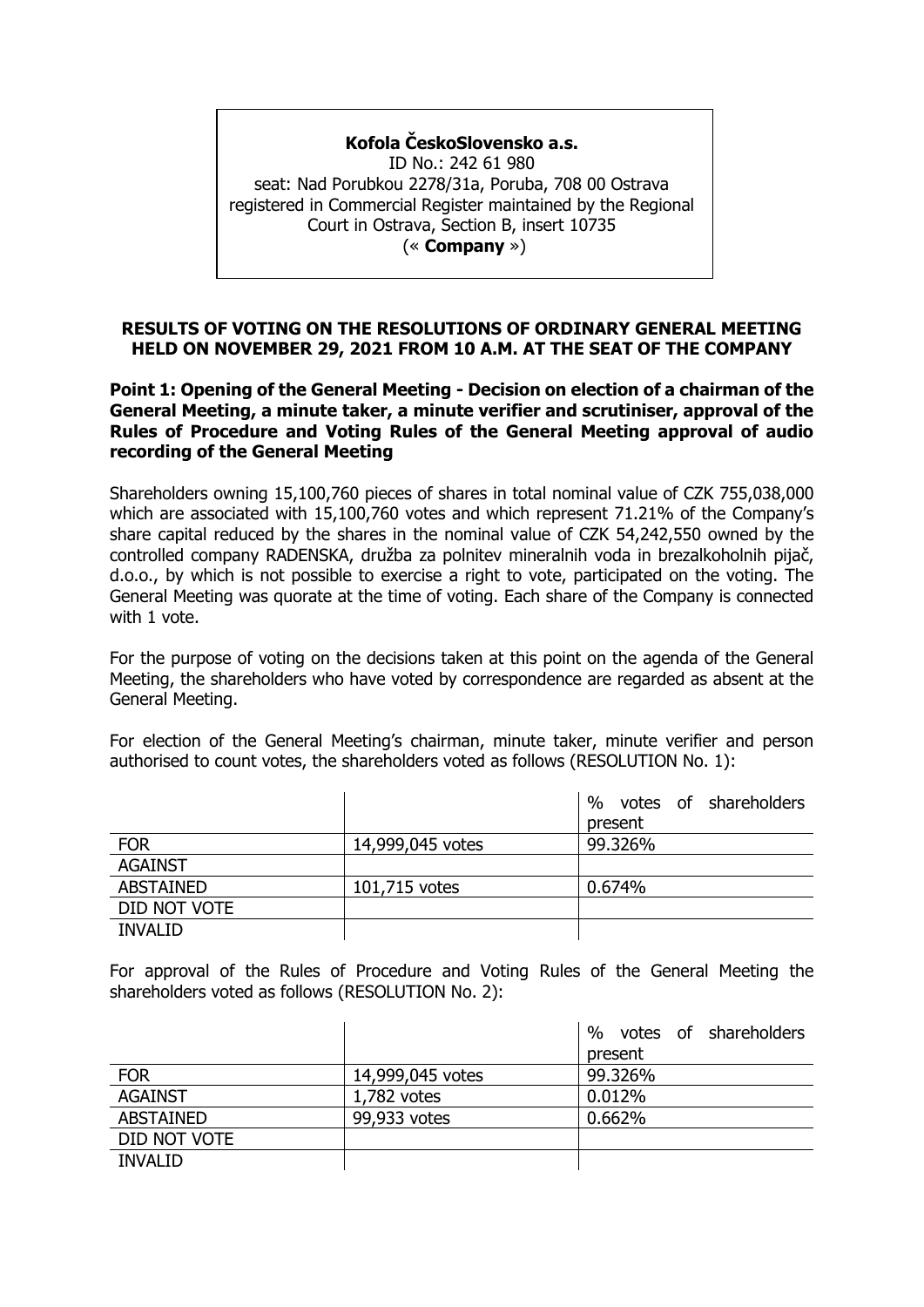# **Kofola ČeskoSlovensko a.s.**

ID No.: 242 61 980 seat: Nad Porubkou 2278/31a, Poruba, 708 00 Ostrava registered in Commercial Register maintained by the Regional Court in Ostrava, Section B, insert 10735 (« **Company** »)

#### **RESULTS OF VOTING ON THE RESOLUTIONS OF ORDINARY GENERAL MEETING HELD ON NOVEMBER 29, 2021 FROM 10 A.M. AT THE SEAT OF THE COMPANY**

#### **Point 1: Opening of the General Meeting - Decision on election of a chairman of the General Meeting, a minute taker, a minute verifier and scrutiniser, approval of the Rules of Procedure and Voting Rules of the General Meeting approval of audio recording of the General Meeting**

Shareholders owning 15,100,760 pieces of shares in total nominal value of CZK 755,038,000 which are associated with 15,100,760 votes and which represent 71.21% of the Company's share capital reduced by the shares in the nominal value of CZK 54,242,550 owned by the controlled company RADENSKA, družba za polnitev mineralnih voda in brezalkoholnih pijač, d.o.o., by which is not possible to exercise a right to vote, participated on the voting. The General Meeting was quorate at the time of voting. Each share of the Company is connected with 1 vote.

For the purpose of voting on the decisions taken at this point on the agenda of the General Meeting, the shareholders who have voted by correspondence are regarded as absent at the General Meeting.

For election of the General Meeting's chairman, minute taker, minute verifier and person authorised to count votes, the shareholders voted as follows (RESOLUTION No. 1):

|                  |                  | votes of shareholders<br>$\frac{0}{0}$ |
|------------------|------------------|----------------------------------------|
|                  |                  | present                                |
| <b>FOR</b>       | 14,999,045 votes | 99.326%                                |
| <b>AGAINST</b>   |                  |                                        |
| <b>ABSTAINED</b> | 101,715 votes    | 0.674%                                 |
| DID NOT VOTE     |                  |                                        |
| <b>INVALID</b>   |                  |                                        |

For approval of the Rules of Procedure and Voting Rules of the General Meeting the shareholders voted as follows (RESOLUTION No. 2):

|                  |                  | $\frac{0}{0}$<br>votes of shareholders |
|------------------|------------------|----------------------------------------|
|                  |                  | present                                |
| <b>FOR</b>       | 14,999,045 votes | 99.326%                                |
| <b>AGAINST</b>   | $1,782$ votes    | 0.012%                                 |
| <b>ABSTAINED</b> | 99,933 votes     | 0.662%                                 |
| DID NOT VOTE     |                  |                                        |
| <b>INVALID</b>   |                  |                                        |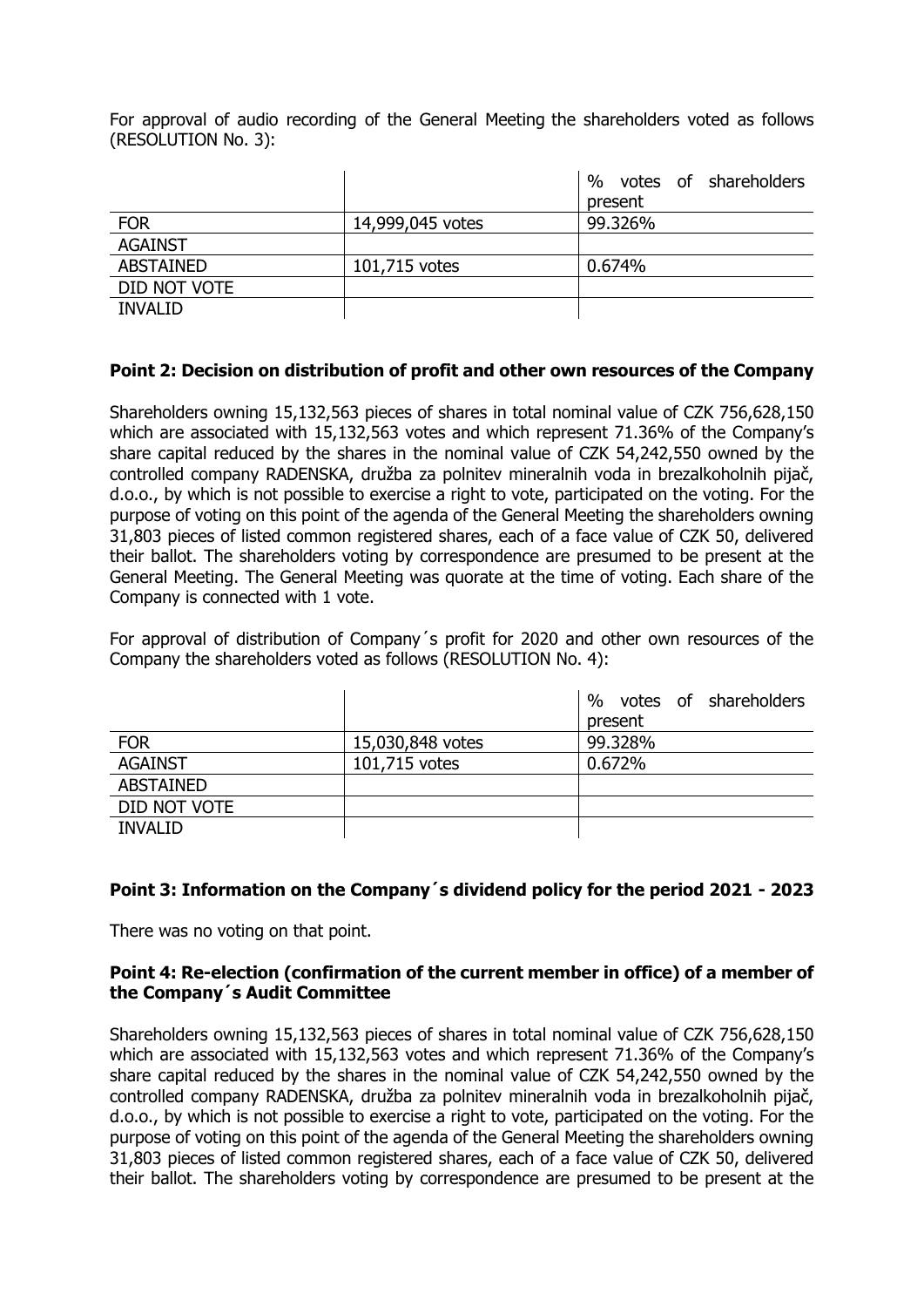For approval of audio recording of the General Meeting the shareholders voted as follows (RESOLUTION No. 3):

|                  |                  | %<br>votes of shareholders |
|------------------|------------------|----------------------------|
|                  |                  | present                    |
| <b>FOR</b>       | 14,999,045 votes | 99.326%                    |
| <b>AGAINST</b>   |                  |                            |
| <b>ABSTAINED</b> | 101,715 votes    | 0.674%                     |
| DID NOT VOTE     |                  |                            |
| <b>INVALID</b>   |                  |                            |

# **Point 2: Decision on distribution of profit and other own resources of the Company**

Shareholders owning 15,132,563 pieces of shares in total nominal value of CZK 756,628,150 which are associated with 15,132,563 votes and which represent 71.36% of the Company's share capital reduced by the shares in the nominal value of CZK 54,242,550 owned by the controlled company RADENSKA, družba za polnitev mineralnih voda in brezalkoholnih pijač, d.o.o., by which is not possible to exercise a right to vote, participated on the voting. For the purpose of voting on this point of the agenda of the General Meeting the shareholders owning 31,803 pieces of listed common registered shares, each of a face value of CZK 50, delivered their ballot. The shareholders voting by correspondence are presumed to be present at the General Meeting. The General Meeting was quorate at the time of voting. Each share of the Company is connected with 1 vote.

For approval of distribution of Company´s profit for 2020 and other own resources of the Company the shareholders voted as follows (RESOLUTION No. 4):

|                  |                  | votes of shareholders<br>$\%$ |
|------------------|------------------|-------------------------------|
|                  |                  | present                       |
| <b>FOR</b>       | 15,030,848 votes | 99.328%                       |
| <b>AGAINST</b>   | 101,715 votes    | 0.672%                        |
| <b>ABSTAINED</b> |                  |                               |
| DID NOT VOTE     |                  |                               |
| <b>INVALID</b>   |                  |                               |

# **Point 3: Information on the Company´s dividend policy for the period 2021 - 2023**

There was no voting on that point.

#### **Point 4: Re-election (confirmation of the current member in office) of a member of the Company´s Audit Committee**

Shareholders owning 15,132,563 pieces of shares in total nominal value of CZK 756,628,150 which are associated with 15,132,563 votes and which represent 71.36% of the Company's share capital reduced by the shares in the nominal value of CZK 54,242,550 owned by the controlled company RADENSKA, družba za polnitev mineralnih voda in brezalkoholnih pijač, d.o.o., by which is not possible to exercise a right to vote, participated on the voting. For the purpose of voting on this point of the agenda of the General Meeting the shareholders owning 31,803 pieces of listed common registered shares, each of a face value of CZK 50, delivered their ballot. The shareholders voting by correspondence are presumed to be present at the